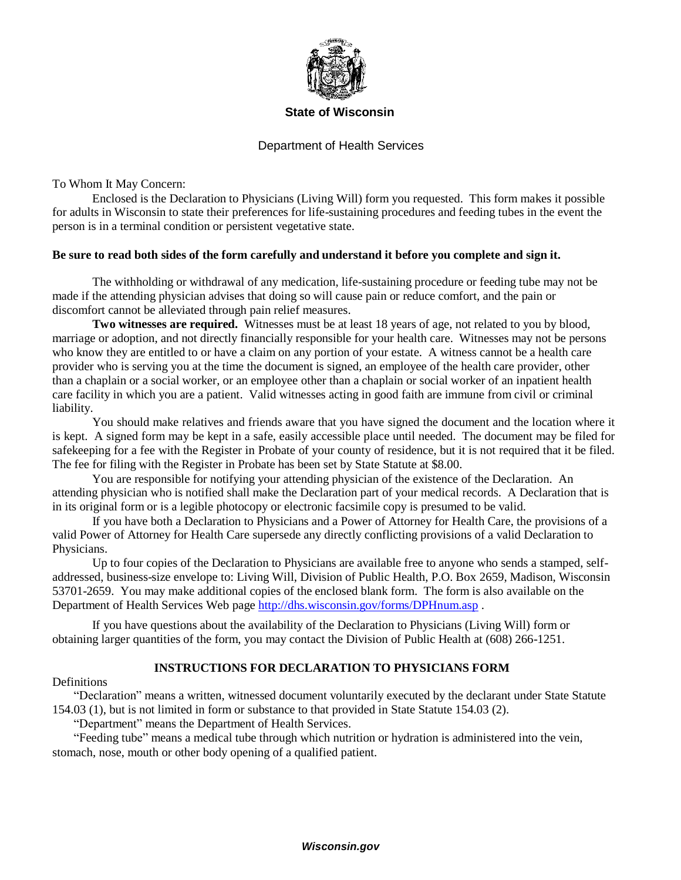

### **State of Wisconsin**

# Department of Health Services

To Whom It May Concern:

Enclosed is the Declaration to Physicians (Living Will) form you requested. This form makes it possible for adults in Wisconsin to state their preferences for life-sustaining procedures and feeding tubes in the event the person is in a terminal condition or persistent vegetative state.

### **Be sure to read both sides of the form carefully and understand it before you complete and sign it.**

The withholding or withdrawal of any medication, life-sustaining procedure or feeding tube may not be made if the attending physician advises that doing so will cause pain or reduce comfort, and the pain or discomfort cannot be alleviated through pain relief measures.

**Two witnesses are required.** Witnesses must be at least 18 years of age, not related to you by blood, marriage or adoption, and not directly financially responsible for your health care. Witnesses may not be persons who know they are entitled to or have a claim on any portion of your estate. A witness cannot be a health care provider who is serving you at the time the document is signed, an employee of the health care provider, other than a chaplain or a social worker, or an employee other than a chaplain or social worker of an inpatient health care facility in which you are a patient. Valid witnesses acting in good faith are immune from civil or criminal liability.

You should make relatives and friends aware that you have signed the document and the location where it is kept. A signed form may be kept in a safe, easily accessible place until needed. The document may be filed for safekeeping for a fee with the Register in Probate of your county of residence, but it is not required that it be filed. The fee for filing with the Register in Probate has been set by State Statute at \$8.00.

You are responsible for notifying your attending physician of the existence of the Declaration. An attending physician who is notified shall make the Declaration part of your medical records. A Declaration that is in its original form or is a legible photocopy or electronic facsimile copy is presumed to be valid.

If you have both a Declaration to Physicians and a Power of Attorney for Health Care, the provisions of a valid Power of Attorney for Health Care supersede any directly conflicting provisions of a valid Declaration to Physicians.

Up to four copies of the Declaration to Physicians are available free to anyone who sends a stamped, selfaddressed, business-size envelope to: Living Will, Division of Public Health, P.O. Box 2659, Madison, Wisconsin 53701-2659. You may make additional copies of the enclosed blank form. The form is also available on the Department of Health Services Web page http://dhs.wisconsin.gov/forms/DPHnum.asp.

If you have questions about the availability of the Declaration to Physicians (Living Will) form or obtaining larger quantities of the form, you may contact the Division of Public Health at (608) 266-1251.

## **INSTRUCTIONS FOR DECLARATION TO PHYSICIANS FORM**

**Definitions** 

"Declaration" means a written, witnessed document voluntarily executed by the declarant under State Statute 154.03 (1), but is not limited in form or substance to that provided in State Statute 154.03 (2).

"Department" means the Department of Health Services.

"Feeding tube" means a medical tube through which nutrition or hydration is administered into the vein, stomach, nose, mouth or other body opening of a qualified patient.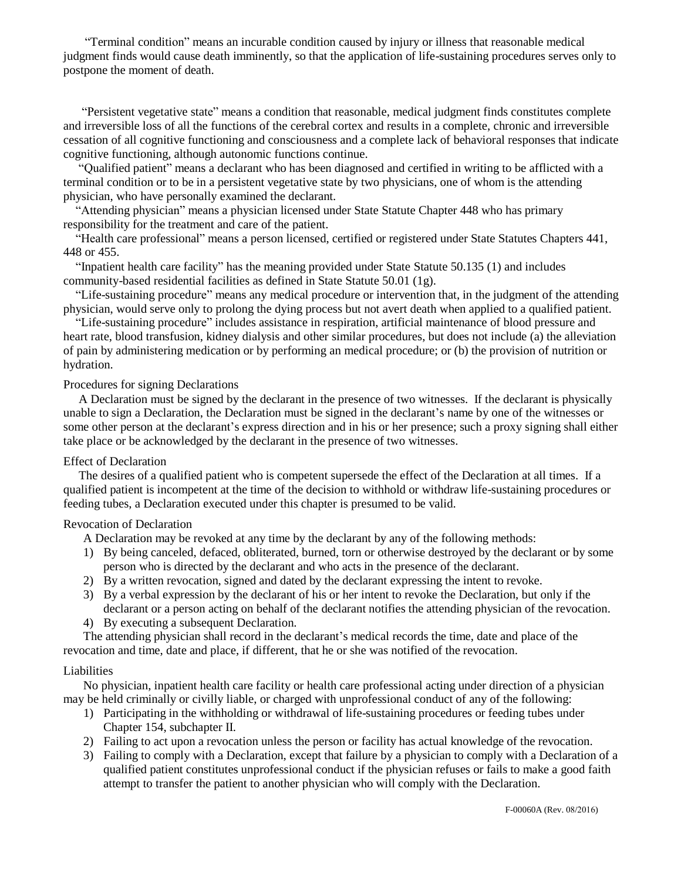"Terminal condition" means an incurable condition caused by injury or illness that reasonable medical judgment finds would cause death imminently, so that the application of life-sustaining procedures serves only to postpone the moment of death.

"Persistent vegetative state" means a condition that reasonable, medical judgment finds constitutes complete and irreversible loss of all the functions of the cerebral cortex and results in a complete, chronic and irreversible cessation of all cognitive functioning and consciousness and a complete lack of behavioral responses that indicate cognitive functioning, although autonomic functions continue.

"Qualified patient" means a declarant who has been diagnosed and certified in writing to be afflicted with a terminal condition or to be in a persistent vegetative state by two physicians, one of whom is the attending physician, who have personally examined the declarant.

"Attending physician" means a physician licensed under State Statute Chapter 448 who has primary responsibility for the treatment and care of the patient.

"Health care professional" means a person licensed, certified or registered under State Statutes Chapters 441, 448 or 455.

"Inpatient health care facility" has the meaning provided under State Statute 50.135 (1) and includes community-based residential facilities as defined in State Statute 50.01 (1g).

"Life-sustaining procedure" means any medical procedure or intervention that, in the judgment of the attending physician, would serve only to prolong the dying process but not avert death when applied to a qualified patient.

"Life-sustaining procedure" includes assistance in respiration, artificial maintenance of blood pressure and heart rate, blood transfusion, kidney dialysis and other similar procedures, but does not include (a) the alleviation of pain by administering medication or by performing an medical procedure; or (b) the provision of nutrition or hydration.

## Procedures for signing Declarations

A Declaration must be signed by the declarant in the presence of two witnesses. If the declarant is physically unable to sign a Declaration, the Declaration must be signed in the declarant's name by one of the witnesses or some other person at the declarant's express direction and in his or her presence; such a proxy signing shall either take place or be acknowledged by the declarant in the presence of two witnesses.

#### Effect of Declaration

The desires of a qualified patient who is competent supersede the effect of the Declaration at all times. If a qualified patient is incompetent at the time of the decision to withhold or withdraw life-sustaining procedures or feeding tubes, a Declaration executed under this chapter is presumed to be valid.

#### Revocation of Declaration

A Declaration may be revoked at any time by the declarant by any of the following methods:

- 1) By being canceled, defaced, obliterated, burned, torn or otherwise destroyed by the declarant or by some person who is directed by the declarant and who acts in the presence of the declarant.
- 2) By a written revocation, signed and dated by the declarant expressing the intent to revoke.
- 3) By a verbal expression by the declarant of his or her intent to revoke the Declaration, but only if the declarant or a person acting on behalf of the declarant notifies the attending physician of the revocation.
- 4) By executing a subsequent Declaration.

The attending physician shall record in the declarant's medical records the time, date and place of the revocation and time, date and place, if different, that he or she was notified of the revocation.

#### Liabilities

No physician, inpatient health care facility or health care professional acting under direction of a physician may be held criminally or civilly liable, or charged with unprofessional conduct of any of the following:

- 1) Participating in the withholding or withdrawal of life-sustaining procedures or feeding tubes under Chapter 154, subchapter II.
- 2) Failing to act upon a revocation unless the person or facility has actual knowledge of the revocation.
- 3) Failing to comply with a Declaration, except that failure by a physician to comply with a Declaration of a qualified patient constitutes unprofessional conduct if the physician refuses or fails to make a good faith attempt to transfer the patient to another physician who will comply with the Declaration.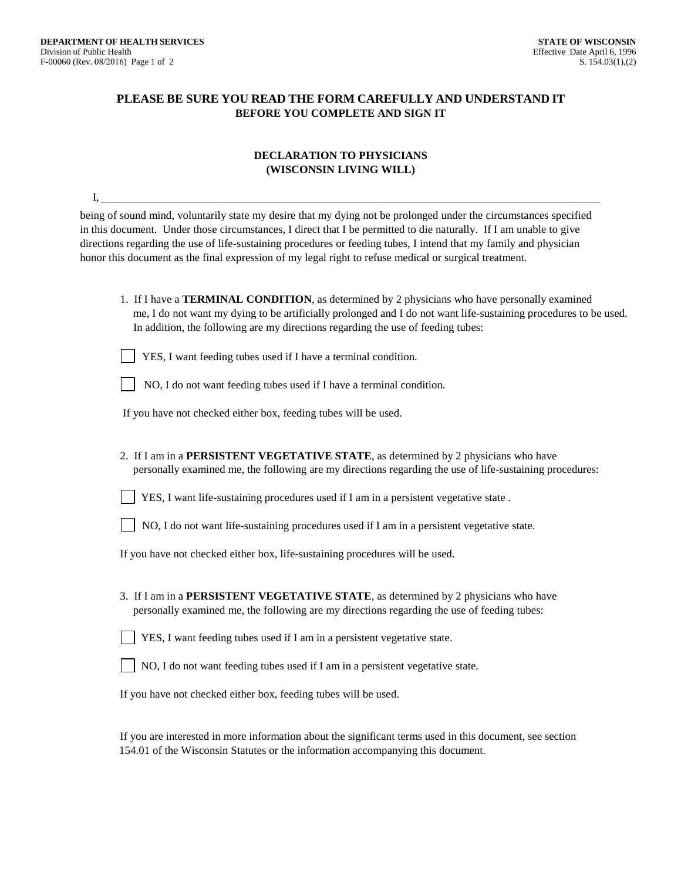# **PLEASE BE SURE YOU READ THE FORM CAREFULLY AND UNDERSTAND IT BEFORE YOU COMPLETE AND SIGN IT**

### **DECLARATION TO PHYSICIANS (WISCONSIN LIVING WILL)**

| Ι,                                                                                                                                                                                                                                                                                                                                                                                                                                                                      |
|-------------------------------------------------------------------------------------------------------------------------------------------------------------------------------------------------------------------------------------------------------------------------------------------------------------------------------------------------------------------------------------------------------------------------------------------------------------------------|
| being of sound mind, voluntarily state my desire that my dying not be prolonged under the circumstances specified<br>in this document. Under those circumstances, I direct that I be permitted to die naturally. If I am unable to give<br>directions regarding the use of life-sustaining procedures or feeding tubes, I intend that my family and physician<br>honor this document as the final expression of my legal right to refuse medical or surgical treatment. |
| 1. If I have a TERMINAL CONDITION, as determined by 2 physicians who have personally examined<br>me, I do not want my dying to be artificially prolonged and I do not want life-sustaining procedures to be used.<br>In addition, the following are my directions regarding the use of feeding tubes:                                                                                                                                                                   |
| YES, I want feeding tubes used if I have a terminal condition.                                                                                                                                                                                                                                                                                                                                                                                                          |
| NO, I do not want feeding tubes used if I have a terminal condition.                                                                                                                                                                                                                                                                                                                                                                                                    |
| If you have not checked either box, feeding tubes will be used.                                                                                                                                                                                                                                                                                                                                                                                                         |
| 2. If I am in a PERSISTENT VEGETATIVE STATE, as determined by 2 physicians who have<br>personally examined me, the following are my directions regarding the use of life-sustaining procedures:                                                                                                                                                                                                                                                                         |
| YES, I want life-sustaining procedures used if I am in a persistent vegetative state.                                                                                                                                                                                                                                                                                                                                                                                   |
| NO, I do not want life-sustaining procedures used if I am in a persistent vegetative state.                                                                                                                                                                                                                                                                                                                                                                             |
| If you have not checked either box, life-sustaining procedures will be used.                                                                                                                                                                                                                                                                                                                                                                                            |
| 3. If I am in a PERSISTENT VEGETATIVE STATE, as determined by 2 physicians who have<br>personally examined me, the following are my directions regarding the use of feeding tubes:                                                                                                                                                                                                                                                                                      |
| YES, I want feeding tubes used if I am in a persistent vegetative state.                                                                                                                                                                                                                                                                                                                                                                                                |
| NO, I do not want feeding tubes used if I am in a persistent vegetative state.                                                                                                                                                                                                                                                                                                                                                                                          |
| If you have not checked either box, feeding tubes will be used.                                                                                                                                                                                                                                                                                                                                                                                                         |
|                                                                                                                                                                                                                                                                                                                                                                                                                                                                         |

If you are interested in more information about the significant terms used in this document, see section 154.01 of the Wisconsin Statutes or the information accompanying this document.